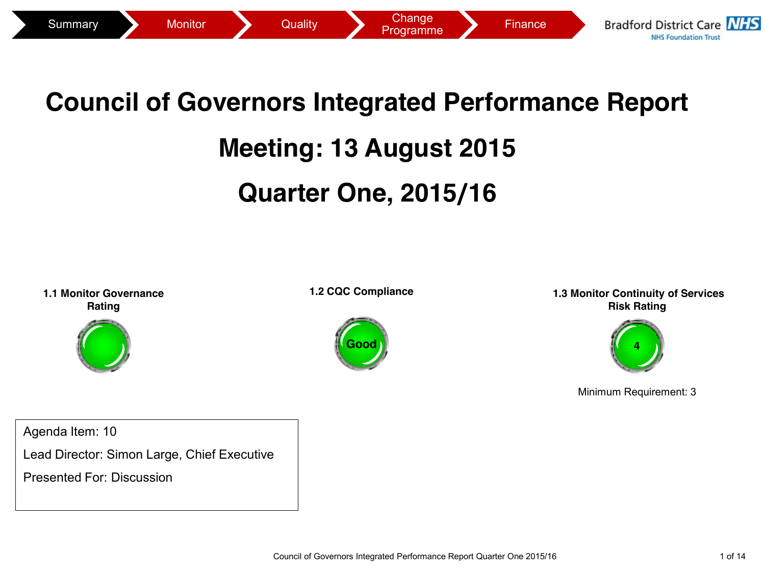

# **Council of Governors Integrated Performance Report**

### **Meeting: 13 August 2015**

## **Quarter One, 2015/16**

**1.1 Monitor Governance Rating**



**1.2 CQC Compliance**



**1.3 Monitor Continuity of Services Risk Rating**



Minimum Requirement: 3

Agenda Item: 10

Lead Director: Simon Large, Chief Executive

Presented For: Discussion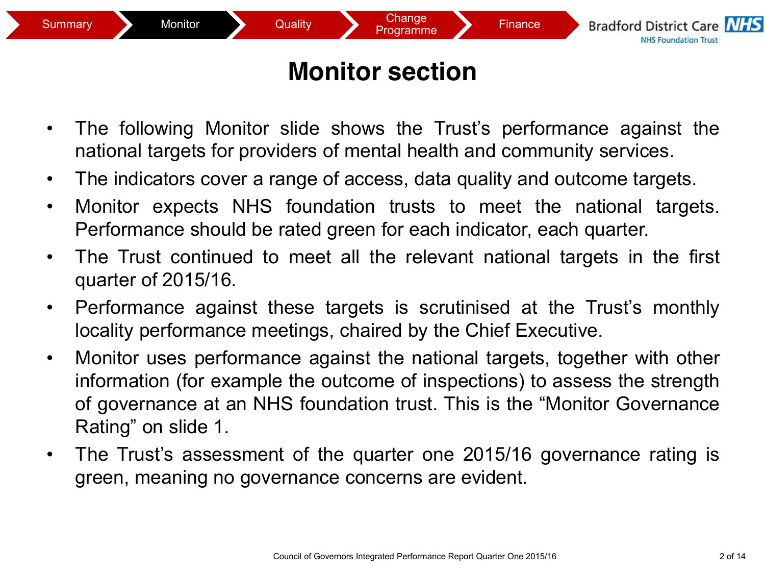## **Monitor section**

- The following Monitor slide shows the Trust's performance against the national targets for providers of mental health and community services.
- The indicators cover a range of access, data quality and outcome targets.
- Monitor expects NHS foundation trusts to meet the national targets. Performance should be rated green for each indicator, each quarter.
- The Trust continued to meet all the relevant national targets in the first quarter of 2015/16.
- Performance against these targets is scrutinised at the Trust's monthly locality performance meetings, chaired by the Chief Executive.
- Monitor uses performance against the national targets, together with other information (for example the outcome of inspections) to assess the strength of governance at an NHS foundation trust. This is the "Monitor Governance Rating" on slide 1.
- The Trust's assessment of the quarter one 2015/16 governance rating is green, meaning no governance concerns are evident.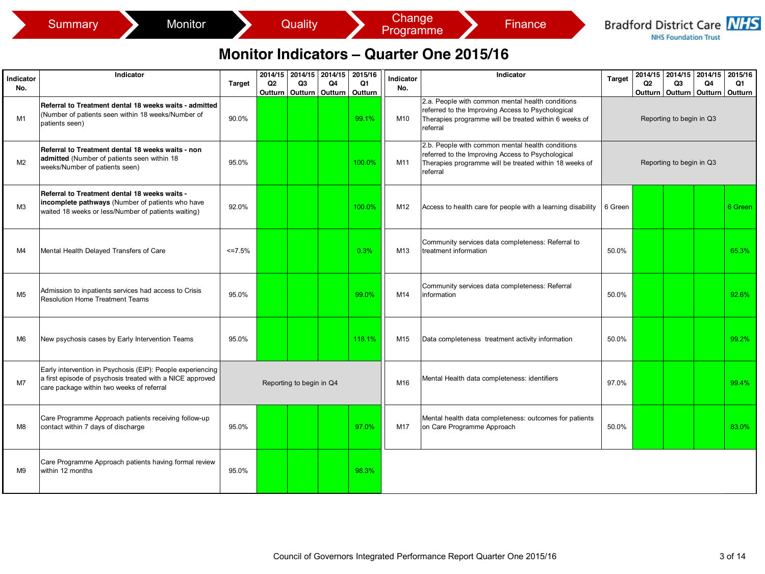|                  | Monitor<br>Summary                                                                                                                                                   |          |                                                | Quality       |                          |                          | Change<br>Programme |                                                 | <b>Finance</b>                                                                                                                                                  |               |               | <b>NHS Foundation Trust</b> |                                                        | <b>Bradford District Care NHS</b> |
|------------------|----------------------------------------------------------------------------------------------------------------------------------------------------------------------|----------|------------------------------------------------|---------------|--------------------------|--------------------------|---------------------|-------------------------------------------------|-----------------------------------------------------------------------------------------------------------------------------------------------------------------|---------------|---------------|-----------------------------|--------------------------------------------------------|-----------------------------------|
|                  |                                                                                                                                                                      |          |                                                |               |                          |                          |                     | <b>Monitor Indicators – Quarter One 2015/16</b> |                                                                                                                                                                 |               |               |                             |                                                        |                                   |
| Indicator<br>No. | Indicator                                                                                                                                                            | Target   | 2014/15<br>Q <sub>2</sub><br>Outturn   Outturn | 2014/15<br>Q3 | 2014/15<br>Q4<br>Outturn | 2015/16<br>Q1<br>Outturn | Indicator<br>No.    |                                                 | Indicator                                                                                                                                                       | <b>Target</b> | 2014/15<br>Q2 | 2014/15<br>Q <sub>3</sub>   | 2014/15<br>Q4<br>Outturn   Outturn   Outturn   Outturn | 2015/16<br>Q1                     |
| M1               | Referral to Treatment dental 18 weeks waits - admitted<br>(Number of patients seen within 18 weeks/Number of<br>patients seen)                                       | 90.0%    |                                                |               |                          | 99.1%                    | M10                 | referral                                        | 2.a. People with common mental health conditions<br>referred to the Improving Access to Psychological<br>Therapies programme will be treated within 6 weeks of  |               |               | Reporting to begin in Q3    |                                                        |                                   |
| M <sub>2</sub>   | Referral to Treatment dental 18 weeks waits - non<br>admitted (Number of patients seen within 18<br>weeks/Number of patients seen)                                   | 95.0%    |                                                |               |                          | 100.0%                   | M11                 | referral                                        | 2.b. People with common mental health conditions<br>referred to the Improving Access to Psychological<br>Therapies programme will be treated within 18 weeks of |               |               | Reporting to begin in Q3    |                                                        |                                   |
| M <sub>3</sub>   | Referral to Treatment dental 18 weeks waits -<br>incomplete pathways (Number of patients who have<br>waited 18 weeks or less/Number of patients waiting)             | 92.0%    |                                                |               |                          | 100.0%                   | M12                 |                                                 | Access to health care for people with a learning disability                                                                                                     | 6 Green       |               |                             |                                                        | 6 Green                           |
| M4               | Mental Health Delayed Transfers of Care                                                                                                                              | $<=7.5%$ |                                                |               |                          | 0.3%                     | M13                 | treatment information                           | Community services data completeness: Referral to                                                                                                               | 50.0%         |               |                             |                                                        | 65.3%                             |
| M <sub>5</sub>   | Admission to inpatients services had access to Crisis<br><b>Resolution Home Treatment Teams</b>                                                                      | 95.0%    |                                                |               |                          | 99.0%                    | M14                 | information                                     | Community services data completeness: Referral                                                                                                                  | 50.0%         |               |                             |                                                        | 92.6%                             |
| M <sub>6</sub>   | New psychosis cases by Early Intervention Teams                                                                                                                      | 95.0%    |                                                |               |                          | 118.1%                   | M15                 |                                                 | Data completeness treatment activity information                                                                                                                | 50.0%         |               |                             |                                                        | 99.2%                             |
| M7               | Early intervention in Psychosis (EIP): People experiencing<br>a first episode of psychosis treated with a NICE approved<br>care package within two weeks of referral |          | Reporting to begin in Q4                       |               |                          |                          | M16                 |                                                 | Mental Health data completeness: identifiers                                                                                                                    | 97.0%         |               |                             |                                                        | 99.4%                             |
| M8               | Care Programme Approach patients receiving follow-up<br>contact within 7 days of discharge                                                                           | 95.0%    |                                                |               |                          | 97.0%                    | M17                 | on Care Programme Approach                      | Mental health data completeness: outcomes for patients                                                                                                          | 50.0%         |               |                             |                                                        | 83.0%                             |
| M9               | Care Programme Approach patients having formal review<br>within 12 months                                                                                            | 95.0%    |                                                |               |                          | 98.3%                    |                     |                                                 |                                                                                                                                                                 |               |               |                             |                                                        |                                   |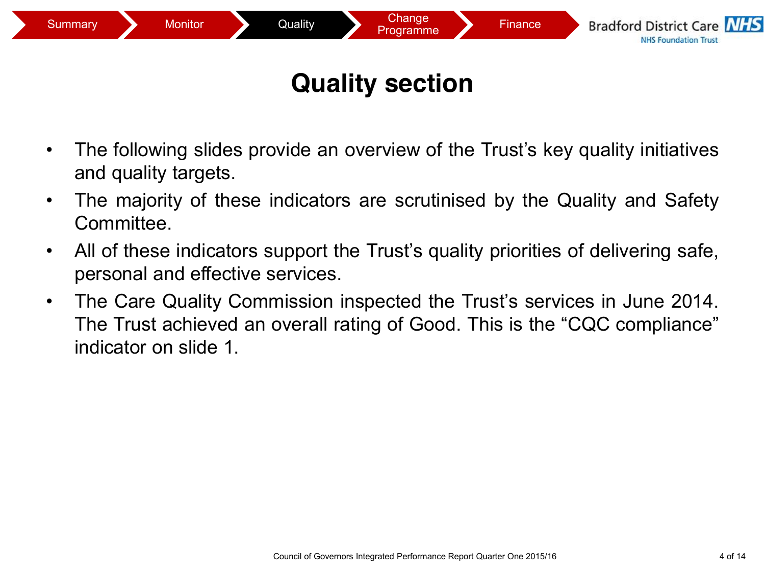

### **Quality section**

- The following slides provide an overview of the Trust's key quality initiatives and quality targets.
- The majority of these indicators are scrutinised by the Quality and Safety **Committee.**
- All of these indicators support the Trust's quality priorities of delivering safe, personal and effective services.
- The Care Quality Commission inspected the Trust's services in June 2014. The Trust achieved an overall rating of Good. This is the "CQC compliance" indicator on slide 1.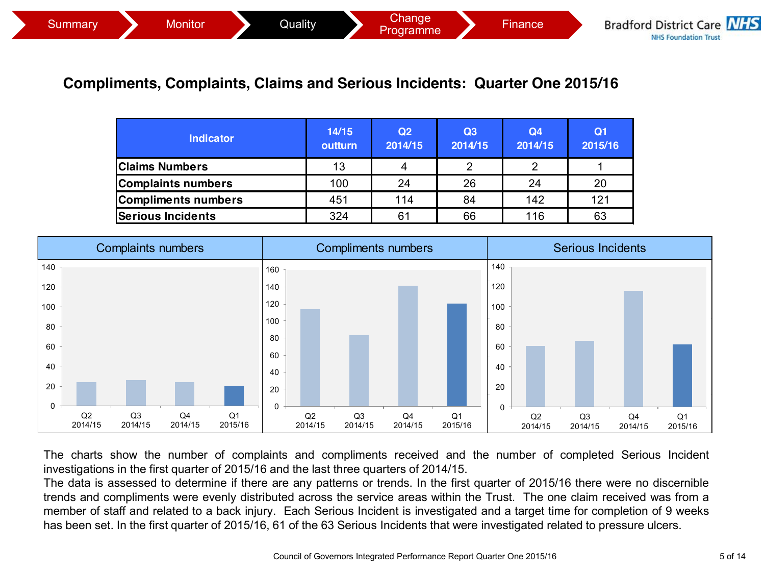#### **Compliments, Complaints, Claims and Serious Incidents: Quarter One 2015/16**

| <b>Indicator</b>          | 14/15<br>outturn | Q <sub>2</sub><br>2014/15 | Q3<br>2014/15 | Q <sub>4</sub><br>2014/15 | Q <sub>1</sub><br>2015/16 |
|---------------------------|------------------|---------------------------|---------------|---------------------------|---------------------------|
| <b>Claims Numbers</b>     | 13               |                           |               |                           |                           |
| <b>Complaints numbers</b> | 100              | 24                        | 26            | 24                        | 20                        |
| Compliments numbers       | 451              | 114                       | 84            | 142                       | 121                       |
| <b>Serious Incidents</b>  | 324              | 61                        | 66            | 116                       | 63                        |



The charts show the number of complaints and compliments received and the number of completed Serious Incident investigations in the first quarter of 2015/16 and the last three quarters of 2014/15.

The data is assessed to determine if there are any patterns or trends. In the first quarter of 2015/16 there were no discernible trends and compliments were evenly distributed across the service areas within the Trust. The one claim received was from a member of staff and related to a back injury. Each Serious Incident is investigated and a target time for completion of 9 weeks has been set. In the first quarter of 2015/16, 61 of the 63 Serious Incidents that were investigated related to pressure ulcers.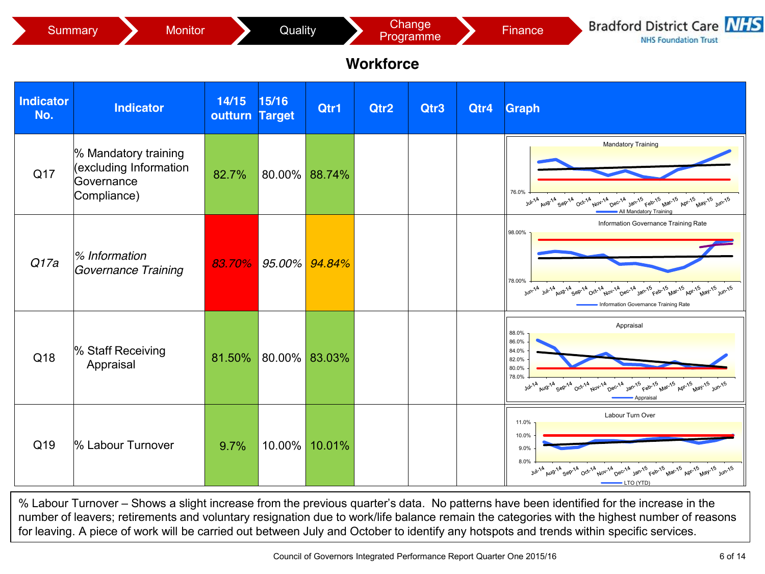

% Labour Turnover – Shows a slight increase from the previous quarter's data. No patterns have been identified for the increase in the number of leavers; retirements and voluntary resignation due to work/life balance remain the categories with the highest number of reasons for leaving. A piece of work will be carried out between July and October to identify any hotspots and trends within specific services.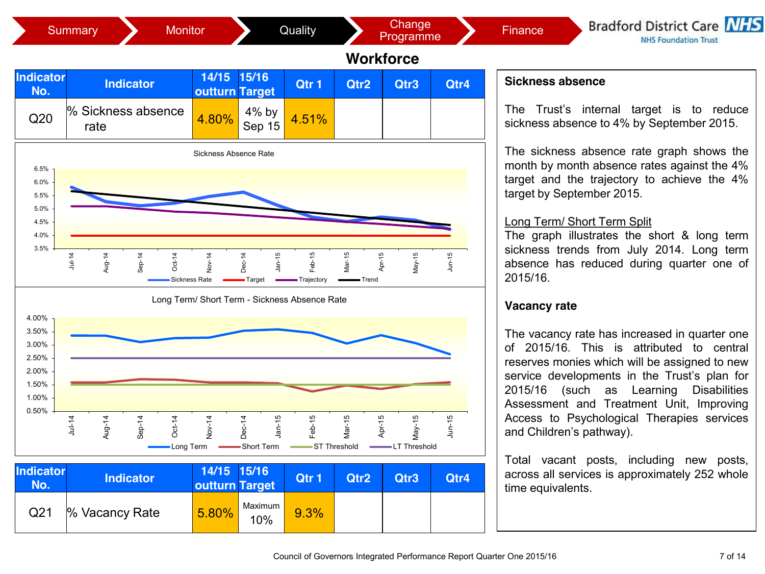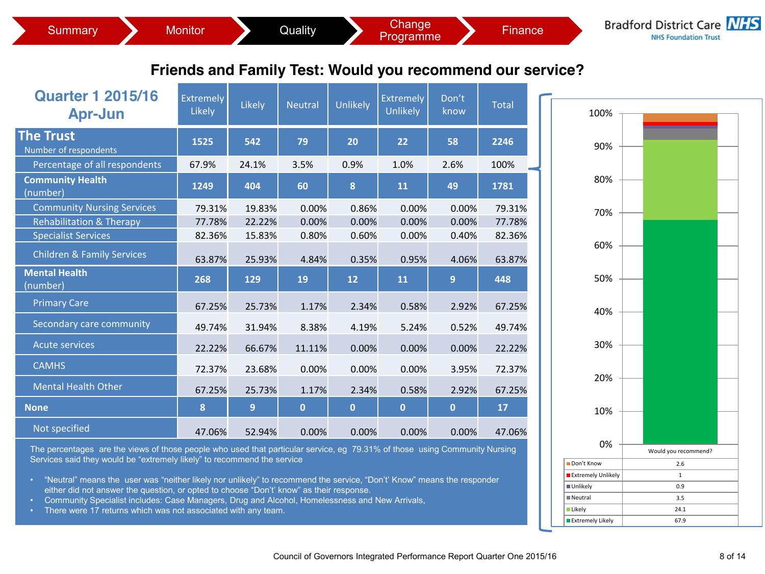| Friends and Family Test: Would you recommend our service?                                                                                                                                                                                                |                            |                |                |                |                                     |                |              |      |  |  |
|----------------------------------------------------------------------------------------------------------------------------------------------------------------------------------------------------------------------------------------------------------|----------------------------|----------------|----------------|----------------|-------------------------------------|----------------|--------------|------|--|--|
| <b>Quarter 1 2015/16</b><br><b>Apr-Jun</b>                                                                                                                                                                                                               | <b>Extremely</b><br>Likely | Likely         | <b>Neutral</b> | Unlikely       | <b>Extremely</b><br><b>Unlikely</b> | Don't<br>know  | <b>Total</b> | 100% |  |  |
| <b>The Trust</b><br>Number of respondents                                                                                                                                                                                                                | 1525                       | 542            | 79             | 20             | 22                                  | 58             | 2246         | 90%  |  |  |
| Percentage of all respondents                                                                                                                                                                                                                            | 67.9%                      | 24.1%          | 3.5%           | 0.9%           | 1.0%                                | 2.6%           | 100%         |      |  |  |
| <b>Community Health</b><br>(number)                                                                                                                                                                                                                      | 1249                       | 404            | 60             | 8              | 11                                  | 49             | 1781         | 80%  |  |  |
| <b>Community Nursing Services</b>                                                                                                                                                                                                                        | 79.31%                     | 19.83%         | 0.00%          | 0.86%          | 0.00%                               | 0.00%          | 79.31%       | 70%  |  |  |
| <b>Rehabilitation &amp; Therapy</b>                                                                                                                                                                                                                      | 77.78%                     | 22.22%         | 0.00%          | 0.00%          | 0.00%                               | 0.00%          | 77.78%       |      |  |  |
| <b>Specialist Services</b>                                                                                                                                                                                                                               | 82.36%                     | 15.83%         | 0.80%          | 0.60%          | 0.00%                               | 0.40%          | 82.36%       |      |  |  |
| <b>Children &amp; Family Services</b>                                                                                                                                                                                                                    | 63.87%                     | 25.93%         | 4.84%          | 0.35%          | 0.95%                               | 4.06%          | 63.87%       | 60%  |  |  |
| <b>Mental Health</b><br>(number)                                                                                                                                                                                                                         | 268                        | 129            | 19             | 12             | 11                                  | 9              | 448          | 50%  |  |  |
| <b>Primary Care</b>                                                                                                                                                                                                                                      | 67.25%                     | 25.73%         | 1.17%          | 2.34%          | 0.58%                               | 2.92%          | 67.25%       | 40%  |  |  |
| Secondary care community                                                                                                                                                                                                                                 | 49.74%                     | 31.94%         | 8.38%          | 4.19%          | 5.24%                               | 0.52%          | 49.74%       |      |  |  |
| <b>Acute services</b>                                                                                                                                                                                                                                    | 22.22%                     | 66.67%         | 11.11%         | 0.00%          | 0.00%                               | 0.00%          | 22.22%       | 30%  |  |  |
| <b>CAMHS</b>                                                                                                                                                                                                                                             | 72.37%                     | 23.68%         | 0.00%          | 0.00%          | 0.00%                               | 3.95%          | 72.37%       | 20%  |  |  |
| <b>Mental Health Other</b>                                                                                                                                                                                                                               | 67.25%                     | 25.73%         | 1.17%          | 2.34%          | 0.58%                               | 2.92%          | 67.25%       |      |  |  |
| <b>None</b>                                                                                                                                                                                                                                              | 8                          | $\overline{9}$ | $\mathbf{0}$   | $\overline{0}$ | $\mathbf{0}$                        | $\overline{0}$ | 17           | 10%  |  |  |
| Not specified                                                                                                                                                                                                                                            | 47.06%                     | 52.94%         | 0.00%          | 0.00%          | 0.00%                               | 0.00%          | 47.06%       |      |  |  |
| 0%<br>The percentages are the views of those people who used that particular service, eg 79.31% of those using Community Nursing<br>Would you recommend?<br>Services said they would be "extremely likely" to recommend the service<br>Don't Know<br>2.6 |                            |                |                |                |                                     |                |              |      |  |  |

- "Neutral" means the user was "neither likely nor unlikely" to recommend the service, "Don't' Know" means the responder either did not answer the question, or opted to choose "Don't' know" as their response.
- Community Specialist includes: Case Managers, Drug and Alcohol, Homelessness and New Arrivals,
- There were 17 returns which was not associated with any team.

Extremely Unlikely 1 Unlikely 0.9 Neutral 3.5 Likely 24.1 Extremely Likely and the 67.9

**Bradford District Care NHS NHS Foundation Trust** 

Summary Monitor Quality Change Change Finance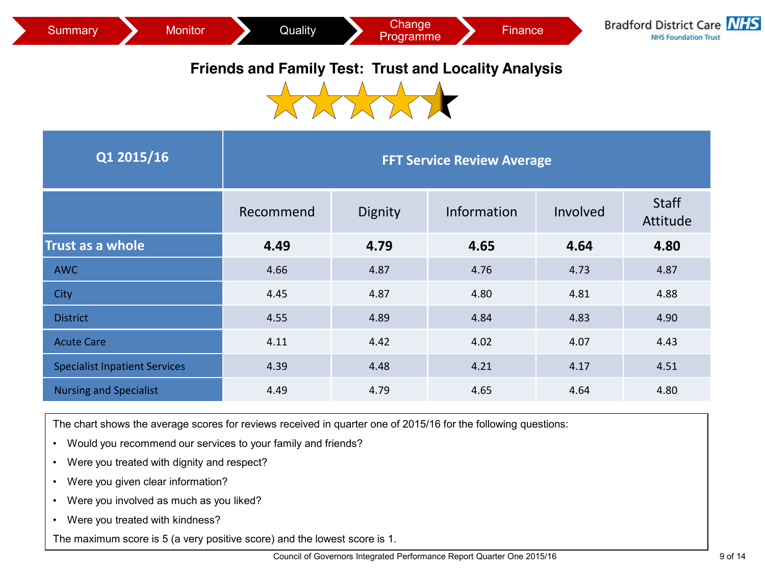

#### **Friends and Family Test: Trust and Locality Analysis**



| Q1 2015/16                           | <b>FFT Service Review Average</b> |         |             |          |                          |  |  |  |  |  |
|--------------------------------------|-----------------------------------|---------|-------------|----------|--------------------------|--|--|--|--|--|
|                                      | Recommend                         | Dignity | Information | Involved | <b>Staff</b><br>Attitude |  |  |  |  |  |
| Trust as a whole                     | 4.49                              | 4.79    | 4.65        | 4.64     | 4.80                     |  |  |  |  |  |
| <b>AWC</b>                           | 4.66                              | 4.87    | 4.76        | 4.73     | 4.87                     |  |  |  |  |  |
| City                                 | 4.45                              | 4.87    | 4.80        | 4.81     | 4.88                     |  |  |  |  |  |
| <b>District</b>                      | 4.55                              | 4.89    | 4.84        | 4.83     | 4.90                     |  |  |  |  |  |
| <b>Acute Care</b>                    | 4.11                              | 4.42    | 4.02        | 4.07     | 4.43                     |  |  |  |  |  |
| <b>Specialist Inpatient Services</b> | 4.39                              | 4.48    | 4.21        | 4.17     | 4.51                     |  |  |  |  |  |
| <b>Nursing and Specialist</b>        | 4.49                              | 4.79    | 4.65        | 4.64     | 4.80                     |  |  |  |  |  |

The chart shows the average scores for reviews received in quarter one of 2015/16 for the following questions:

- Would you recommend our services to your family and friends?
- Were you treated with dignity and respect?
- Were you given clear information?
- Were you involved as much as you liked?
- Were you treated with kindness?

The maximum score is 5 (a very positive score) and the lowest score is 1.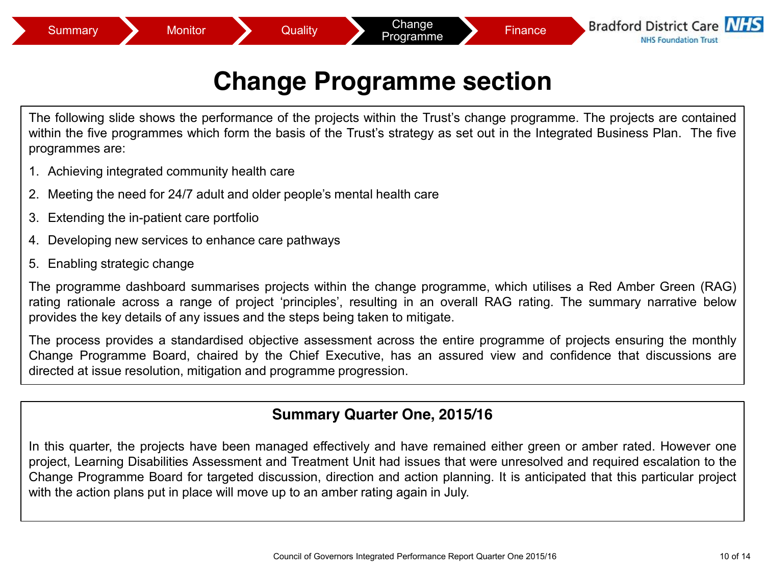### **Change Programme section**

The following slide shows the performance of the projects within the Trust's change programme. The projects are contained within the five programmes which form the basis of the Trust's strategy as set out in the Integrated Business Plan. The five programmes are:

- 1. Achieving integrated community health care
- 2. Meeting the need for 24/7 adult and older people's mental health care
- 3. Extending the in-patient care portfolio
- 4. Developing new services to enhance care pathways
- 5. Enabling strategic change

The programme dashboard summarises projects within the change programme, which utilises a Red Amber Green (RAG) rating rationale across a range of project 'principles', resulting in an overall RAG rating. The summary narrative below provides the key details of any issues and the steps being taken to mitigate.

The process provides a standardised objective assessment across the entire programme of projects ensuring the monthly Change Programme Board, chaired by the Chief Executive, has an assured view and confidence that discussions are directed at issue resolution, mitigation and programme progression.

#### **Summary Quarter One, 2015/16**

In this quarter, the projects have been managed effectively and have remained either green or amber rated. However one project, Learning Disabilities Assessment and Treatment Unit had issues that were unresolved and required escalation to the Change Programme Board for targeted discussion, direction and action planning. It is anticipated that this particular project with the action plans put in place will move up to an amber rating again in July.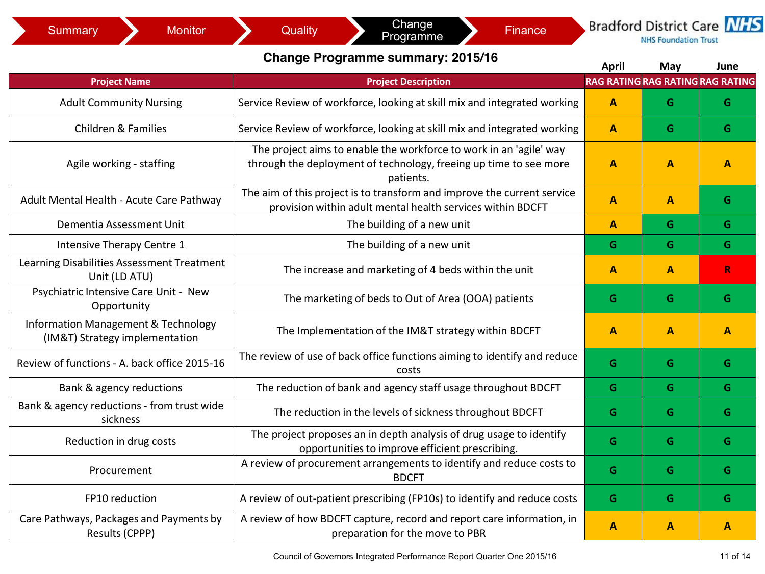#### **Change Programme summary: 2015/16 April 1996 May be a line**

|                                                                       |                                                                                                                                                      | April<br>RAG RATING RAG RATING RAG RATING | iviay | June         |
|-----------------------------------------------------------------------|------------------------------------------------------------------------------------------------------------------------------------------------------|-------------------------------------------|-------|--------------|
| <b>Project Name</b>                                                   | <b>Project Description</b>                                                                                                                           |                                           |       |              |
| <b>Adult Community Nursing</b>                                        | Service Review of workforce, looking at skill mix and integrated working                                                                             | A                                         | G     | G            |
| <b>Children &amp; Families</b>                                        | Service Review of workforce, looking at skill mix and integrated working                                                                             | A                                         | G     | G            |
| Agile working - staffing                                              | The project aims to enable the workforce to work in an 'agile' way<br>through the deployment of technology, freeing up time to see more<br>patients. | A                                         | A     | $\mathbf{A}$ |
| Adult Mental Health - Acute Care Pathway                              | The aim of this project is to transform and improve the current service<br>provision within adult mental health services within BDCFT                | A                                         | A     | G            |
| Dementia Assessment Unit                                              | The building of a new unit                                                                                                                           | A                                         | G     | G            |
| Intensive Therapy Centre 1                                            | The building of a new unit                                                                                                                           | G                                         | G     | G            |
| Learning Disabilities Assessment Treatment<br>Unit (LD ATU)           | The increase and marketing of 4 beds within the unit                                                                                                 | A                                         | A     | R.           |
| Psychiatric Intensive Care Unit - New<br>Opportunity                  | The marketing of beds to Out of Area (OOA) patients                                                                                                  | G                                         | G     | G            |
| Information Management & Technology<br>(IM&T) Strategy implementation | The Implementation of the IM&T strategy within BDCFT                                                                                                 | A                                         | A     | A            |
| Review of functions - A. back office 2015-16                          | The review of use of back office functions aiming to identify and reduce<br>costs                                                                    | G                                         | G     | G            |
| Bank & agency reductions                                              | The reduction of bank and agency staff usage throughout BDCFT                                                                                        | G                                         | G     | G            |
| Bank & agency reductions - from trust wide<br>sickness                | The reduction in the levels of sickness throughout BDCFT                                                                                             | G                                         | G     | G            |
| Reduction in drug costs                                               | The project proposes an in depth analysis of drug usage to identify<br>opportunities to improve efficient prescribing.                               | G                                         | G     | G            |
| Procurement                                                           | A review of procurement arrangements to identify and reduce costs to<br><b>BDCFT</b>                                                                 | G                                         | G     | G            |
| FP10 reduction                                                        | A review of out-patient prescribing (FP10s) to identify and reduce costs                                                                             | G                                         | G     | G            |
| Care Pathways, Packages and Payments by<br>Results (CPPP)             | A review of how BDCFT capture, record and report care information, in<br>preparation for the move to PBR                                             | A                                         | A     | A            |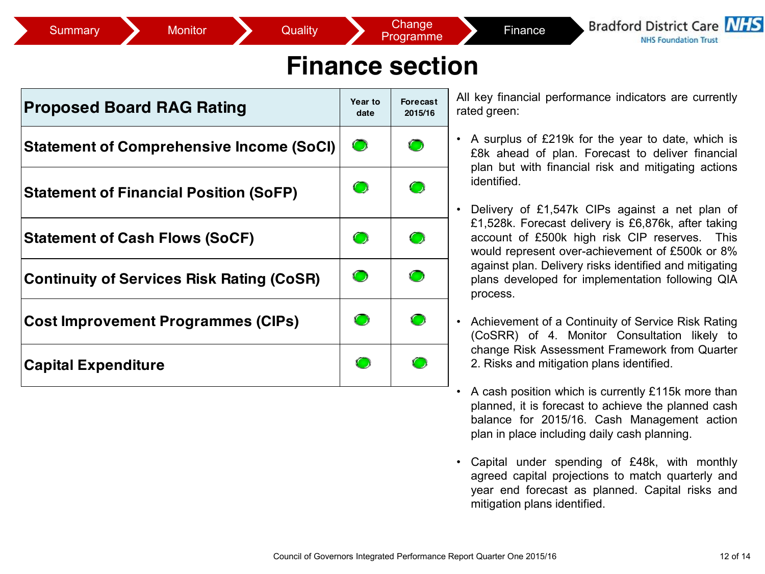**Bradford District Care NIFS NHS Foundation Trust** 

### **Finance section**

| <b>Proposed Board RAG Rating</b>                 | Year to<br>date | <b>Forecast</b><br>2015/16 |
|--------------------------------------------------|-----------------|----------------------------|
| <b>Statement of Comprehensive Income (SoCI)</b>  | $\bullet$       |                            |
| <b>Statement of Financial Position (SoFP)</b>    | $\bullet$       | Œ                          |
| <b>Statement of Cash Flows (SoCF)</b>            | $\bullet$       | $\bullet$                  |
| <b>Continuity of Services Risk Rating (CoSR)</b> | O               | Œ                          |
| <b>Cost Improvement Programmes (CIPs)</b>        | $\bigcirc$      | Œ                          |
| <b>Capital Expenditure</b>                       |                 |                            |

All key financial performance indicators are currently rated green:

- A surplus of £219k for the year to date, which is £8k ahead of plan. Forecast to deliver financial plan but with financial risk and mitigating actions identified.
- Delivery of £1,547k CIPs against a net plan of £1,528k. Forecast delivery is £6,876k, after taking account of £500k high risk CIP reserves. This would represent over-achievement of £500k or 8% against plan. Delivery risks identified and mitigating plans developed for implementation following QIA process.
- Achievement of a Continuity of Service Risk Rating (CoSRR) of 4. Monitor Consultation likely to change Risk Assessment Framework from Quarter 2. Risks and mitigation plans identified.
- A cash position which is currently £115k more than planned, it is forecast to achieve the planned cash balance for 2015/16. Cash Management action plan in place including daily cash planning.
- Capital under spending of £48k, with monthly agreed capital projections to match quarterly and year end forecast as planned. Capital risks and mitigation plans identified.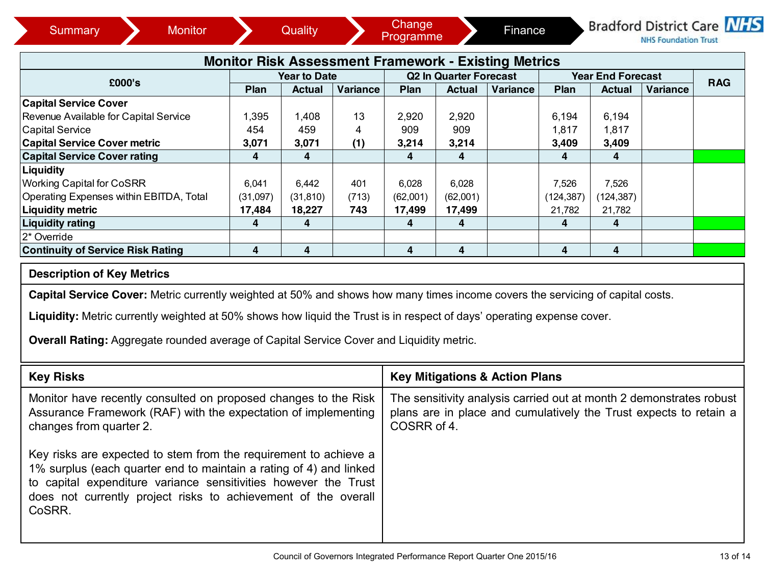| <b>Monitor Risk Assessment Framework - Existing Metrics</b>                                                                    |          |                     |          |          |                                           |                                                                     |            |                          |          |            |  |
|--------------------------------------------------------------------------------------------------------------------------------|----------|---------------------|----------|----------|-------------------------------------------|---------------------------------------------------------------------|------------|--------------------------|----------|------------|--|
|                                                                                                                                |          | <b>Year to Date</b> |          |          | <b>Q2 In Quarter Forecast</b>             |                                                                     |            | <b>Year End Forecast</b> |          |            |  |
| £000's                                                                                                                         | Plan     | <b>Actual</b>       | Variance | Plan     | <b>Actual</b>                             | Variance                                                            | Plan       | <b>Actual</b>            | Variance | <b>RAG</b> |  |
| <b>Capital Service Cover</b>                                                                                                   |          |                     |          |          |                                           |                                                                     |            |                          |          |            |  |
| Revenue Available for Capital Service                                                                                          | 1,395    | 1,408               | 13       | 2,920    | 2,920                                     |                                                                     | 6,194      | 6,194                    |          |            |  |
| Capital Service                                                                                                                | 454      | 459                 | 4        | 909      | 909                                       |                                                                     | 1,817      | 1,817                    |          |            |  |
| <b>Capital Service Cover metric</b>                                                                                            | 3,071    | 3,071               | (1)      | 3,214    | 3,214                                     |                                                                     | 3,409      | 3,409                    |          |            |  |
| <b>Capital Service Cover rating</b>                                                                                            | 4        | 4                   |          | 4        | 4                                         |                                                                     | 4          | $\overline{\mathbf{4}}$  |          |            |  |
| Liquidity                                                                                                                      |          |                     |          |          |                                           |                                                                     |            |                          |          |            |  |
| <b>Working Capital for CoSRR</b>                                                                                               | 6,041    | 6.442               | 401      | 6,028    | 6,028                                     |                                                                     | 7,526      | 7,526                    |          |            |  |
| Operating Expenses within EBITDA, Total                                                                                        | (31,097) | (31, 810)           | (713)    | (62,001) | (62,001)                                  |                                                                     | (124, 387) | (124, 387)               |          |            |  |
| <b>Liquidity metric</b>                                                                                                        | 17,484   | 18,227              | 743      | 17,499   | 17,499                                    |                                                                     | 21,782     | 21,782                   |          |            |  |
| <b>Liquidity rating</b>                                                                                                        | 4        | 4                   |          | 4        | 4                                         |                                                                     | 4          | 4                        |          |            |  |
| 2* Override                                                                                                                    |          |                     |          |          |                                           |                                                                     |            |                          |          |            |  |
| <b>Continuity of Service Risk Rating</b>                                                                                       | 4        | 4                   |          | 4        | 4                                         |                                                                     | 4          | 4                        |          |            |  |
| <b>Description of Key Metrics</b>                                                                                              |          |                     |          |          |                                           |                                                                     |            |                          |          |            |  |
| Capital Service Cover: Metric currently weighted at 50% and shows how many times income covers the servicing of capital costs. |          |                     |          |          |                                           |                                                                     |            |                          |          |            |  |
| Liquidity: Metric currently weighted at 50% shows how liquid the Trust is in respect of days' operating expense cover.         |          |                     |          |          |                                           |                                                                     |            |                          |          |            |  |
|                                                                                                                                |          |                     |          |          |                                           |                                                                     |            |                          |          |            |  |
| <b>Overall Rating: Aggregate rounded average of Capital Service Cover and Liquidity metric.</b>                                |          |                     |          |          |                                           |                                                                     |            |                          |          |            |  |
| <b>Key Risks</b>                                                                                                               |          |                     |          |          | <b>Key Mitigations &amp; Action Plans</b> |                                                                     |            |                          |          |            |  |
| Monitor have recently consulted on proposed changes to the Risk                                                                |          |                     |          |          |                                           | The sensitivity analysis carried out at month 2 demonstrates robust |            |                          |          |            |  |

| Monitor have recently consulted on proposed changes to the Risk                                                                                                                                                                                                                       | The sensitivity analysis carried out at month 2 demonstrates robust |
|---------------------------------------------------------------------------------------------------------------------------------------------------------------------------------------------------------------------------------------------------------------------------------------|---------------------------------------------------------------------|
| Assurance Framework (RAF) with the expectation of implementing                                                                                                                                                                                                                        | plans are in place and cumulatively the Trust expects to retain a   |
| changes from quarter 2.                                                                                                                                                                                                                                                               | COSRR of 4.                                                         |
| Key risks are expected to stem from the requirement to achieve a<br>1% surplus (each quarter end to maintain a rating of 4) and linked<br>to capital expenditure variance sensitivities however the Trust<br>does not currently project risks to achievement of the overall<br>CoSRR. |                                                                     |